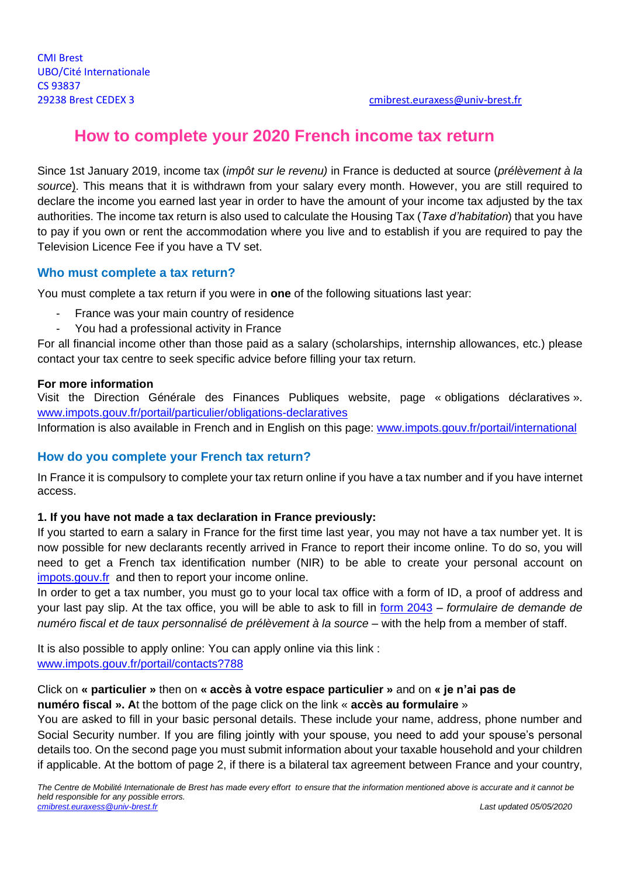# **How to complete your 2020 French income tax return**

Since 1st January 2019, income tax (*impôt sur le revenu)* in France is deducted at source (*prélèvement à la source*). This means that it is withdrawn from your salary every month. However, you are still required to declare the income you earned last year in order to have the amount of your income tax adjusted by the tax authorities. The income tax return is also used to calculate the Housing Tax (*Taxe d'habitation*) that you have to pay if you own or rent the accommodation where you live and to establish if you are required to pay the Television Licence Fee if you have a TV set.

# **Who must complete a tax return?**

You must complete a tax return if you were in **one** of the following situations last year:

- France was your main country of residence
- You had a professional activity in France

For all financial income other than those paid as a salary (scholarships, internship allowances, etc.) please contact your tax centre to seek specific advice before filling your tax return.

### **For more information**

Visit the Direction Générale des Finances Publiques website, page « obligations déclaratives ». [www.impots.gouv.fr/portail/particulier/obligations-declaratives](http://www.impots.gouv.fr/portail/particulier/obligations-declaratives)

Information is also available in French and in English on this page: [www.impots.gouv.fr/portail/international](http://www.impots.gouv.fr/portail/international)

## **How do you complete your French tax return?**

In France it is compulsory to complete your tax return online if you have a tax number and if you have internet access.

## **1. If you have not made a tax declaration in France previously:**

If you started to earn a salary in France for the first time last year, you may not have a tax number yet. It is now possible for new declarants recently arrived in France to report their income online. To do so, you will need to get a French tax identification number (NIR) to be able to create your personal account on [impots.gouv.fr](http://www.impots.gouv.fr/) and then to report your income online.

In order to get a tax number, you must go to your local tax office with a form of ID, a proof of address and your last pay slip. At the tax office, you will be able to ask to fill in [form 2043](http://www.impots.gouv.fr/portail/formulaire/2043-sd/demande-de-numero-fiscal-et-de-taux-personnalise-de-prelevement-la-source) – *formulaire de demande de numéro fiscal et de taux personnalisé de prélèvement à la source* – with the help from a member of staff.

It is also possible to apply online: You can apply online via this link : [www.impots.gouv.fr/portail/contacts?788](http://www.impots.gouv.fr/portail/contacts?788)

# Click on **« particulier »** then on **« accès à votre espace particulier »** and on **« je n'ai pas de numéro fiscal ». A**t the bottom of the page click on the link « **accès au formulaire** »

You are asked to fill in your basic personal details. These include your name, address, phone number and Social Security number. If you are filing jointly with your spouse, you need to add your spouse's personal details too. On the second page you must submit information about your taxable household and your children if applicable. At the bottom of page 2, if there is a bilateral tax agreement between France and your country,

*The Centre de Mobilité Internationale de Brest has made every effort to ensure that the information mentioned above is accurate and it cannot be held responsible for any possible errors. [cmibrest.euraxess@univ-brest.fr](mailto:cmibrest.euraxess@univ-brest.fr) Last updated 05/05/2020*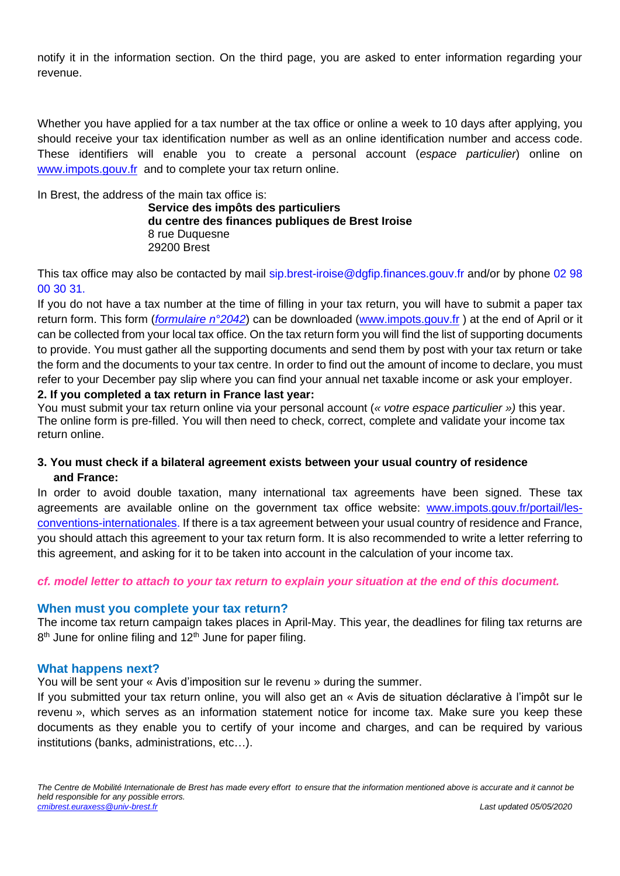notify it in the information section. On the third page, you are asked to enter information regarding your revenue.

Whether you have applied for a tax number at the tax office or online a week to 10 days after applying, you should receive your tax identification number as well as an online identification number and access code. These identifiers will enable you to create a personal account (*espace particulier*) online on [www.impots.gouv.fr](http://www.impots.gouv.fr/) and to complete your tax return online.

In Brest, the address of the main tax office is:

**Service des impôts des particuliers du centre des finances publiques de Brest Iroise** 8 rue Duquesne 29200 Brest

This tax office may also be contacted by mail [sip.brest-iroise@dgfip.finances.gouv.fr](mailto:sip.brest-iroise@dgfip.finances.gouv.fr) and/or by phone 02 98 00 30 31.

If you do not have a tax number at the time of filling in your tax return, you will have to submit a paper tax return form. This form (*[formulaire n°2042](https://www.impots.gouv.fr/portail/files/formulaires/2042/2020/2042_3082.pdf)*) can be downloaded [\(www.impots.gouv.fr](http://www.impots.gouv.fr/) ) at the end of April or it can be collected from your local tax office. On the tax return form you will find the list of supporting documents to provide. You must gather all the supporting documents and send them by post with your tax return or take the form and the documents to your tax centre. In order to find out the amount of income to declare, you must refer to your December pay slip where you can find your annual net taxable income or ask your employer.

#### **2. If you completed a tax return in France last year:**

You must submit your tax return online via your personal account (*« votre espace particulier »)* this year. The online form is pre-filled. You will then need to check, correct, complete and validate your income tax return online.

# **3. You must check if a bilateral agreement exists between your usual country of residence and France:**

In order to avoid double taxation, many international tax agreements have been signed. These tax agreements are available online on the government tax office website: [www.impots.gouv.fr/portail/les](http://www.impots.gouv.fr/portail/les-conventions-internationales)[conventions-internationales.](http://www.impots.gouv.fr/portail/les-conventions-internationales) If there is a tax agreement between your usual country of residence and France, you should attach this agreement to your tax return form. It is also recommended to write a letter referring to this agreement, and asking for it to be taken into account in the calculation of your income tax.

## *cf. model letter to attach to your tax return to explain your situation at the end of this document.*

#### **When must you complete your tax return?**

The income tax return campaign takes places in April-May. This year, the deadlines for filing tax returns are 8<sup>th</sup> June for online filing and 12<sup>th</sup> June for paper filing.

## **What happens next?**

You will be sent your « Avis d'imposition sur le revenu » during the summer.

If you submitted your tax return online, you will also get an « Avis de situation déclarative à l'impôt sur le revenu », which serves as an information statement notice for income tax. Make sure you keep these documents as they enable you to certify of your income and charges, and can be required by various institutions (banks, administrations, etc…).